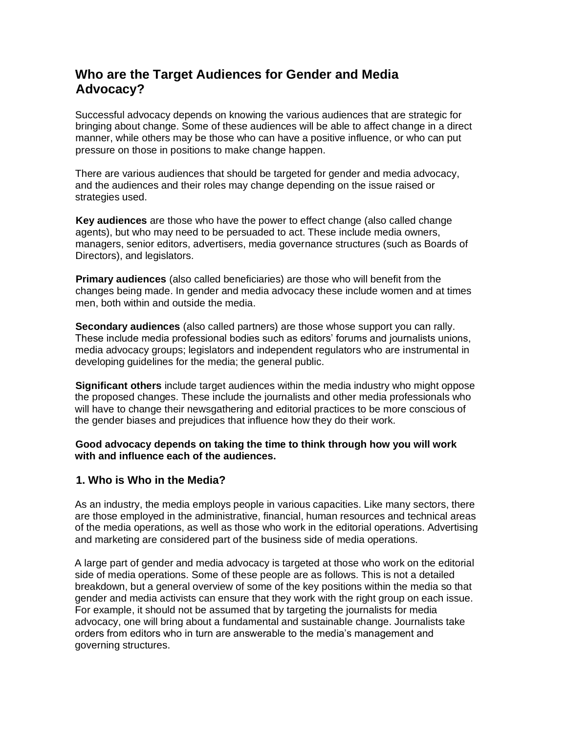# **Who are the Target Audiences for Gender and Media Advocacy?**

Successful advocacy depends on knowing the various audiences that are strategic for bringing about change. Some of these audiences will be able to affect change in a direct manner, while others may be those who can have a positive influence, or who can put pressure on those in positions to make change happen.

There are various audiences that should be targeted for gender and media advocacy, and the audiences and their roles may change depending on the issue raised or strategies used.

**Key audiences** are those who have the power to effect change (also called change agents), but who may need to be persuaded to act. These include media owners, managers, senior editors, advertisers, media governance structures (such as Boards of Directors), and legislators.

**Primary audiences** (also called beneficiaries) are those who will benefit from the changes being made. In gender and media advocacy these include women and at times men, both within and outside the media.

**Secondary audiences** (also called partners) are those whose support you can rally. These include media professional bodies such as editors' forums and journalists unions, media advocacy groups; legislators and independent regulators who are instrumental in developing guidelines for the media; the general public.

**Significant others** include target audiences within the media industry who might oppose the proposed changes. These include the journalists and other media professionals who will have to change their newsgathering and editorial practices to be more conscious of the gender biases and prejudices that influence how they do their work.

## **Good advocacy depends on taking the time to think through how you will work with and influence each of the audiences.**

# **1. Who is Who in the Media?**

As an industry, the media employs people in various capacities. Like many sectors, there are those employed in the administrative, financial, human resources and technical areas of the media operations, as well as those who work in the editorial operations. Advertising and marketing are considered part of the business side of media operations.

A large part of gender and media advocacy is targeted at those who work on the editorial side of media operations. Some of these people are as follows. This is not a detailed breakdown, but a general overview of some of the key positions within the media so that gender and media activists can ensure that they work with the right group on each issue. For example, it should not be assumed that by targeting the journalists for media advocacy, one will bring about a fundamental and sustainable change. Journalists take orders from editors who in turn are answerable to the media's management and governing structures.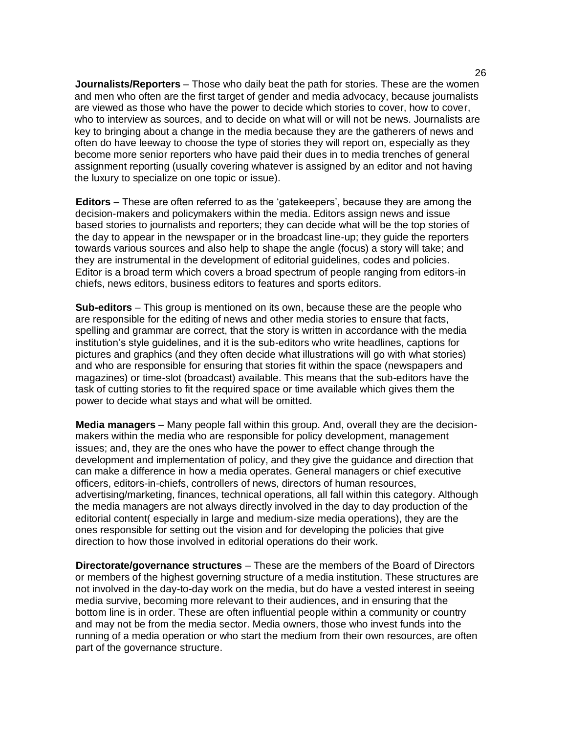**Journalists/Reporters** – Those who daily beat the path for stories. These are the women and men who often are the first target of gender and media advocacy, because journalists are viewed as those who have the power to decide which stories to cover, how to cover, who to interview as sources, and to decide on what will or will not be news. Journalists are key to bringing about a change in the media because they are the gatherers of news and often do have leeway to choose the type of stories they will report on, especially as they become more senior reporters who have paid their dues in to media trenches of general assignment reporting (usually covering whatever is assigned by an editor and not having the luxury to specialize on one topic or issue).

**Editors** – These are often referred to as the 'gatekeepers', because they are among the decision-makers and policymakers within the media. Editors assign news and issue based stories to journalists and reporters; they can decide what will be the top stories of the day to appear in the newspaper or in the broadcast line-up; they guide the reporters towards various sources and also help to shape the angle (focus) a story will take; and they are instrumental in the development of editorial guidelines, codes and policies. Editor is a broad term which covers a broad spectrum of people ranging from editors-in chiefs, news editors, business editors to features and sports editors.

**Sub-editors** – This group is mentioned on its own, because these are the people who are responsible for the editing of news and other media stories to ensure that facts, spelling and grammar are correct, that the story is written in accordance with the media institution's style guidelines, and it is the sub-editors who write headlines, captions for pictures and graphics (and they often decide what illustrations will go with what stories) and who are responsible for ensuring that stories fit within the space (newspapers and magazines) or time-slot (broadcast) available. This means that the sub-editors have the task of cutting stories to fit the required space or time available which gives them the power to decide what stays and what will be omitted.

**Media managers** – Many people fall within this group. And, overall they are the decisionmakers within the media who are responsible for policy development, management issues; and, they are the ones who have the power to effect change through the development and implementation of policy, and they give the guidance and direction that can make a difference in how a media operates. General managers or chief executive officers, editors-in-chiefs, controllers of news, directors of human resources, advertising/marketing, finances, technical operations, all fall within this category. Although the media managers are not always directly involved in the day to day production of the editorial content( especially in large and medium-size media operations), they are the ones responsible for setting out the vision and for developing the policies that give direction to how those involved in editorial operations do their work.

**Directorate/governance structures** – These are the members of the Board of Directors or members of the highest governing structure of a media institution. These structures are not involved in the day-to-day work on the media, but do have a vested interest in seeing media survive, becoming more relevant to their audiences, and in ensuring that the bottom line is in order. These are often influential people within a community or country and may not be from the media sector. Media owners, those who invest funds into the running of a media operation or who start the medium from their own resources, are often part of the governance structure.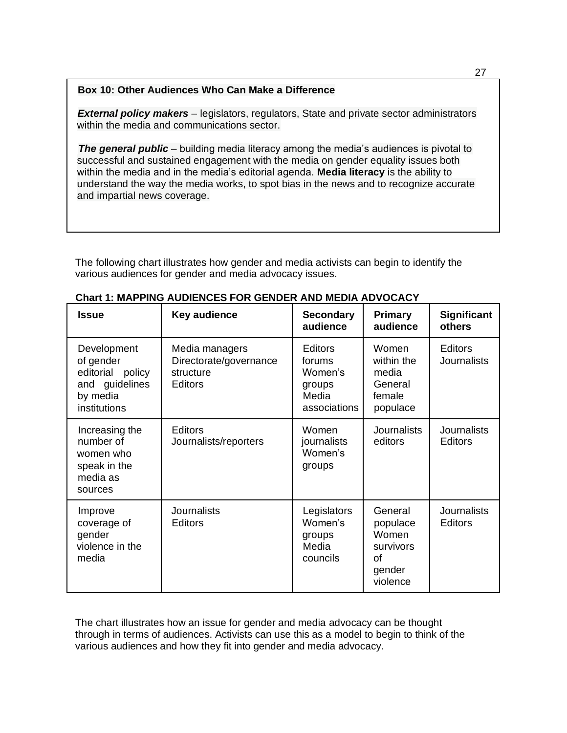## **Box 10: Other Audiences Who Can Make a Difference**

**External policy makers** – legislators, regulators, State and private sector administrators within the media and communications sector.

**The general public** – building media literacy among the media's audiences is pivotal to successful and sustained engagement with the media on gender equality issues both within the media and in the media's editorial agenda. **Media literacy** is the ability to understand the way the media works, to spot bias in the news and to recognize accurate and impartial news coverage.

The following chart illustrates how gender and media activists can begin to identify the various audiences for gender and media advocacy issues.

| <b>Issue</b>                                                                                  | Key audience                                                            | <b>Secondary</b><br>audience                                           | <b>Primary</b><br>audience                                            | <b>Significant</b><br>others         |
|-----------------------------------------------------------------------------------------------|-------------------------------------------------------------------------|------------------------------------------------------------------------|-----------------------------------------------------------------------|--------------------------------------|
| Development<br>of gender<br>editorial<br>policy<br>and guidelines<br>by media<br>institutions | Media managers<br>Directorate/governance<br>structure<br><b>Editors</b> | <b>Editors</b><br>forums<br>Women's<br>groups<br>Media<br>associations | Women<br>within the<br>media<br>General<br>female<br>populace         | <b>Editors</b><br><b>Journalists</b> |
| Increasing the<br>number of<br>women who<br>speak in the<br>media as<br>sources               | <b>Editors</b><br>Journalists/reporters                                 | Women<br>journalists<br>Women's<br>groups                              | <b>Journalists</b><br>editors                                         | <b>Journalists</b><br><b>Editors</b> |
| Improve<br>coverage of<br>gender<br>violence in the<br>media                                  | <b>Journalists</b><br><b>Editors</b>                                    | Legislators<br>Women's<br>groups<br>Media<br>councils                  | General<br>populace<br>Women<br>survivors<br>οf<br>gender<br>violence | <b>Journalists</b><br><b>Editors</b> |

The chart illustrates how an issue for gender and media advocacy can be thought through in terms of audiences. Activists can use this as a model to begin to think of the various audiences and how they fit into gender and media advocacy.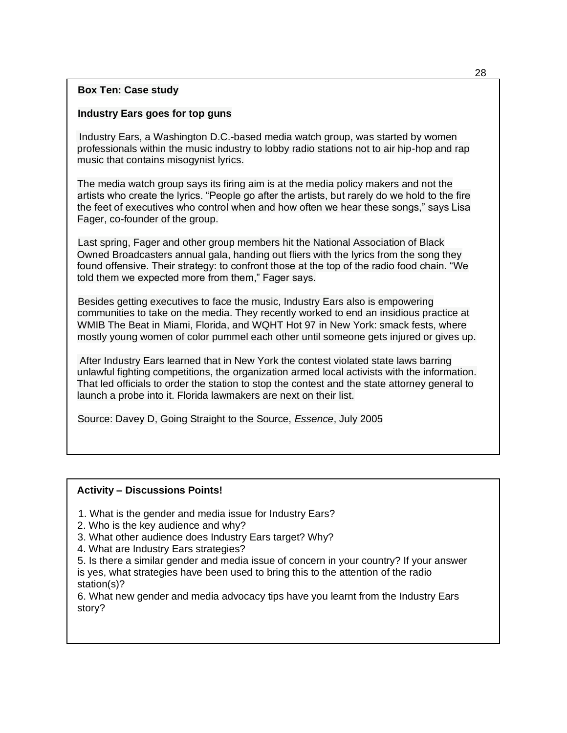## **Box Ten: Case study**

## **Industry Ears goes for top guns**

Industry Ears, a Washington D.C.-based media watch group, was started by women professionals within the music industry to lobby radio stations not to air hip-hop and rap music that contains misogynist lyrics.

The media watch group says its firing aim is at the media policy makers and not the artists who create the lyrics. "People go after the artists, but rarely do we hold to the fire the feet of executives who control when and how often we hear these songs," says Lisa Fager, co-founder of the group.

Last spring, Fager and other group members hit the National Association of Black Owned Broadcasters annual gala, handing out fliers with the lyrics from the song they found offensive. Their strategy: to confront those at the top of the radio food chain. "We told them we expected more from them," Fager says.

Besides getting executives to face the music, Industry Ears also is empowering communities to take on the media. They recently worked to end an insidious practice at WMIB The Beat in Miami, Florida, and WQHT Hot 97 in New York: smack fests, where mostly young women of color pummel each other until someone gets injured or gives up.

After Industry Ears learned that in New York the contest violated state laws barring unlawful fighting competitions, the organization armed local activists with the information. That led officials to order the station to stop the contest and the state attorney general to launch a probe into it. Florida lawmakers are next on their list.

Source: Davey D, Going Straight to the Source, *Essence*, July 2005

#### **Activity – Discussions Points!**

- 1. What is the gender and media issue for Industry Ears?
- 2. Who is the key audience and why?
- 3. What other audience does Industry Ears target? Why?
- 4. What are Industry Ears strategies?

5. Is there a similar gender and media issue of concern in your country? If your answer is yes, what strategies have been used to bring this to the attention of the radio station(s)?

6. What new gender and media advocacy tips have you learnt from the Industry Ears story?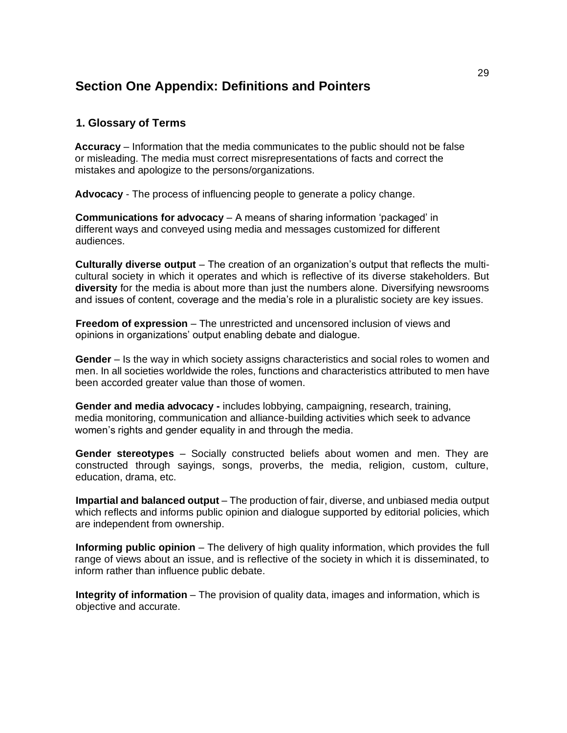# **Section One Appendix: Definitions and Pointers**

## **1. Glossary of Terms**

**Accuracy** – Information that the media communicates to the public should not be false or misleading. The media must correct misrepresentations of facts and correct the mistakes and apologize to the persons/organizations.

**Advocacy** - The process of influencing people to generate a policy change.

**Communications for advocacy** – A means of sharing information 'packaged' in different ways and conveyed using media and messages customized for different audiences.

**Culturally diverse output** – The creation of an organization's output that reflects the multicultural society in which it operates and which is reflective of its diverse stakeholders. But **diversity** for the media is about more than just the numbers alone. Diversifying newsrooms and issues of content, coverage and the media's role in a pluralistic society are key issues.

**Freedom of expression** – The unrestricted and uncensored inclusion of views and opinions in organizations' output enabling debate and dialogue.

**Gender** – Is the way in which society assigns characteristics and social roles to women and men. In all societies worldwide the roles, functions and characteristics attributed to men have been accorded greater value than those of women.

**Gender and media advocacy -** includes lobbying, campaigning, research, training, media monitoring, communication and alliance-building activities which seek to advance women's rights and gender equality in and through the media.

**Gender stereotypes** – Socially constructed beliefs about women and men. They are constructed through sayings, songs, proverbs, the media, religion, custom, culture, education, drama, etc.

**Impartial and balanced output** – The production of fair, diverse, and unbiased media output which reflects and informs public opinion and dialogue supported by editorial policies, which are independent from ownership.

**Informing public opinion** – The delivery of high quality information, which provides the full range of views about an issue, and is reflective of the society in which it is disseminated, to inform rather than influence public debate.

**Integrity of information** – The provision of quality data, images and information, which is objective and accurate.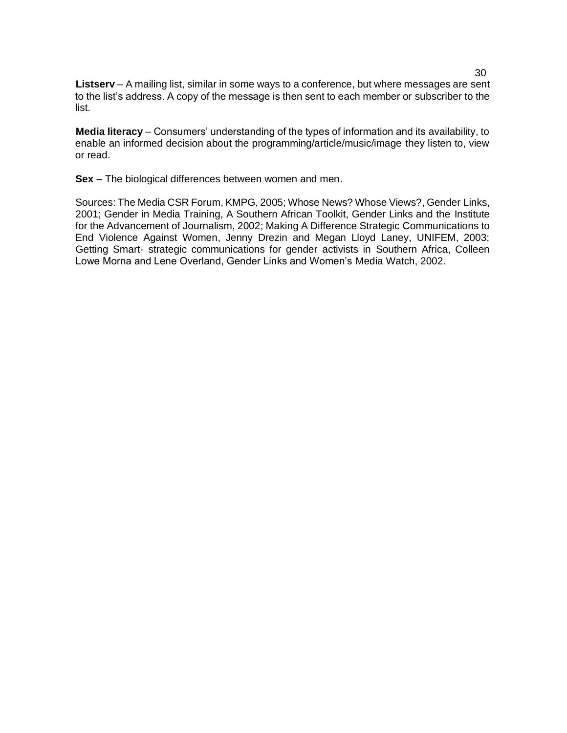**Listserv** – A mailing list, similar in some ways to a conference, but where messages are sent to the list's address. A copy of the message is then sent to each member or subscriber to the list.

**Media literacy** – Consumers' understanding of the types of information and its availability, to enable an informed decision about the programming/article/music/image they listen to, view or read.

**Sex** – The biological differences between women and men.

Sources: The Media CSR Forum, KMPG, 2005; Whose News? Whose Views?, Gender Links, 2001; Gender in Media Training, A Southern African Toolkit, Gender Links and the Institute for the Advancement of Journalism, 2002; Making A Difference Strategic Communications to End Violence Against Women, Jenny Drezin and Megan Lloyd Laney, UNIFEM, 2003; Getting Smart- strategic communications for gender activists in Southern Africa, Colleen Lowe Morna and Lene Overland, Gender Links and Women's Media Watch, 2002.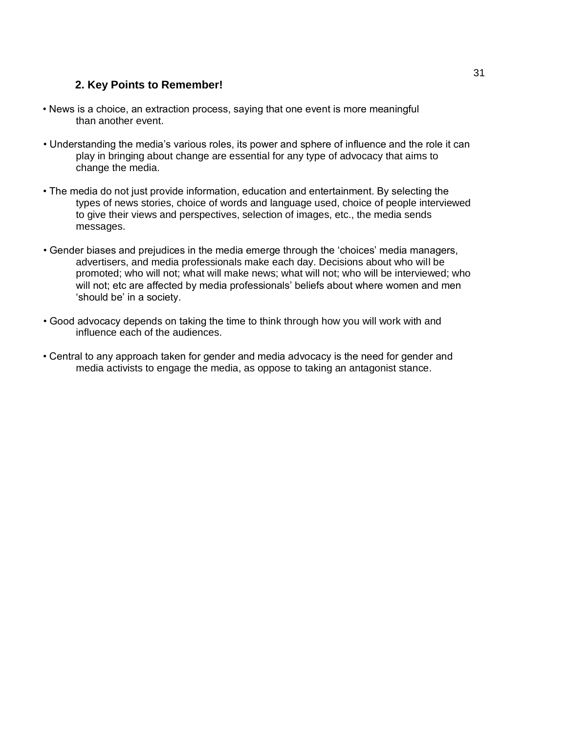# **2. Key Points to Remember!**

- News is a choice, an extraction process, saying that one event is more meaningful than another event.
- Understanding the media's various roles, its power and sphere of influence and the role it can play in bringing about change are essential for any type of advocacy that aims to change the media.
- The media do not just provide information, education and entertainment. By selecting the types of news stories, choice of words and language used, choice of people interviewed to give their views and perspectives, selection of images, etc., the media sends messages.
- Gender biases and prejudices in the media emerge through the 'choices' media managers, advertisers, and media professionals make each day. Decisions about who will be promoted; who will not; what will make news; what will not; who will be interviewed; who will not; etc are affected by media professionals' beliefs about where women and men 'should be' in a society.
- Good advocacy depends on taking the time to think through how you will work with and influence each of the audiences.
- Central to any approach taken for gender and media advocacy is the need for gender and media activists to engage the media, as oppose to taking an antagonist stance.